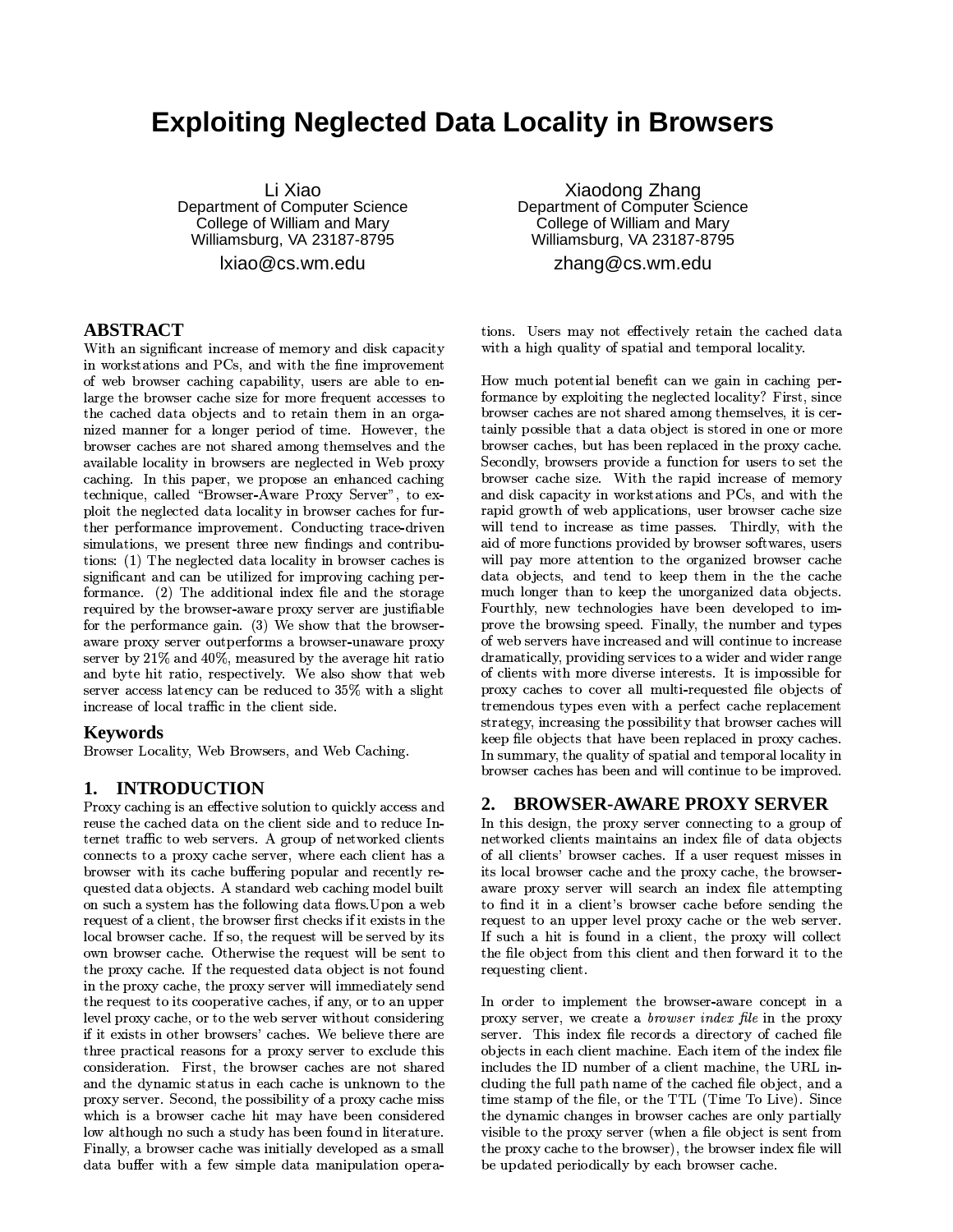# **Exploiting Neglected Data Locality in Browsers**

Li Xiao Department of Computer Science College of William and Mary Williamsburg, VA 23187-8795  $ixiao@cs.wm.edu$ 

### **ABSTRACT**

With an significant increase of memory and disk capacity in workstations and PCs, and with the fine improvement of web browser caching capability, users are able to enlarge the browser cache size for more frequent accesses to the cached data objects and to retain them in an organized manner for a longer period of time. However, the browser caches are not shared among themselves and the available locality in browsers are neglected in Web proxy caching. In this paper, we propose an enhanced caching technique, called "Browser-Aware Proxy Server", to exploit the neglected data locality in browser caches for further performance improvement. Conducting trace-driven simulations, we present three new findings and contributions: (1) The neglected data locality in browser caches is significant and can be utilized for improving caching performance. (2) The additional index file and the storage required by the browser-aware proxy server are justifiable for the performance gain. (3) We show that the browseraware proxy server outperforms a browser-unaware proxy server by 21% and 40%, measured by the average hit ratio and byte hit ratio, respectively. We also show that web server access latency can be reduced to 35% with a slight increase of local traffic in the client side.

### **Keywords**

Browser Locality, Web Browsers, and Web Caching.

## 1. INTRODUCTION

Proxy caching is an effective solution to quickly access and reuse the cached data on the client side and to reduce Internet traffic to web servers. A group of networked clients connects to a proxy cache server, where each client has a browser with its cache buffering popular and recently requested data objects. A standard web caching model built on such a system has the following data flows. Upon a web request of a client, the browser first checks if it exists in the local browser cache. If so, the request will be served by its own browser cache. Otherwise the request will be sent to the proxy cache. If the requested data object is not found in the proxy cache, the proxy server will immediately send the request to its cooperative caches, if any, or to an upper level proxy cache, or to the web server without considering if it exists in other browsers' caches. We believe there are three practical reasons for a proxy server to exclude this consideration. First, the browser caches are not shared and the dynamic status in each cache is unknown to the proxy server. Second, the possibility of a proxy cache miss which is a browser cache hit may have been considered low although no such a study has been found in literature. Finally, a browser cache was initially developed as a small data buffer with a few simple data manipulation opera-

Xiaodong Zhang Department of Computer Science College of William and Mary Williamsburg, VA 23187-8795 zhang@cs.wm.edu

tions. Users may not effectively retain the cached data with a high quality of spatial and temporal locality.

How much potential benefit can we gain in caching performance by exploiting the neglected locality? First, since browser caches are not shared among themselves, it is certainly possible that a data object is stored in one or more browser caches, but has been replaced in the proxy cache. Secondly, browsers provide a function for users to set the browser cache size. With the rapid increase of memory and disk capacity in workstations and PCs, and with the rapid growth of web applications, user browser cache size will tend to increase as time passes. Thirdly, with the aid of more functions provided by browser softwares, users will pay more attention to the organized browser cache data objects, and tend to keep them in the the cache much longer than to keep the unorganized data objects. Fourthly, new technologies have been developed to improve the browsing speed. Finally, the number and types of web servers have increased and will continue to increase dramatically, providing services to a wider and wider range of clients with more diverse interests. It is impossible for proxy caches to cover all multi-requested file objects of tremendous types even with a perfect cache replacement strategy, increasing the possibility that browser caches will keep file objects that have been replaced in proxy caches. In summary, the quality of spatial and temporal locality in browser caches has been and will continue to be improved.

#### **BROWSER-AWARE PROXY SERVER**  $2.$

In this design, the proxy server connecting to a group of networked clients maintains an index file of data objects of all clients' browser caches. If a user request misses in its local browser cache and the proxy cache, the browseraware proxy server will search an index file attempting to find it in a client's browser cache before sending the request to an upper level proxy cache or the web server. If such a hit is found in a client, the proxy will collect the file object from this client and then forward it to the requesting client.

In order to implement the browser-aware concept in a proxy server, we create a *browser* index file in the proxy server. This index file records a directory of cached file objects in each client machine. Each item of the index file includes the ID number of a client machine, the URL including the full path name of the cached file object, and a time stamp of the file, or the TTL (Time To Live). Since the dynamic changes in browser caches are only partially visible to the proxy server (when a file object is sent from the proxy cache to the browser), the browser index file will be updated periodically by each browser cache.